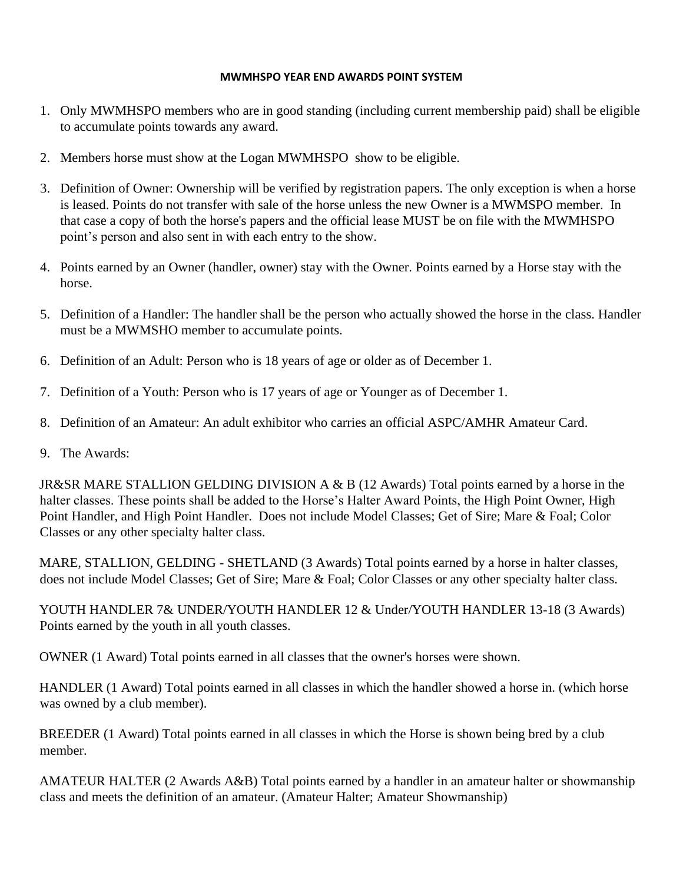## **MWMHSPO YEAR END AWARDS POINT SYSTEM**

- 1. Only MWMHSPO members who are in good standing (including current membership paid) shall be eligible to accumulate points towards any award.
- 2. Members horse must show at the Logan MWMHSPO show to be eligible.
- 3. Definition of Owner: Ownership will be verified by registration papers. The only exception is when a horse is leased. Points do not transfer with sale of the horse unless the new Owner is a MWMSPO member. In that case a copy of both the horse's papers and the official lease MUST be on file with the MWMHSPO point's person and also sent in with each entry to the show.
- 4. Points earned by an Owner (handler, owner) stay with the Owner. Points earned by a Horse stay with the horse.
- 5. Definition of a Handler: The handler shall be the person who actually showed the horse in the class. Handler must be a MWMSHO member to accumulate points.
- 6. Definition of an Adult: Person who is 18 years of age or older as of December 1.
- 7. Definition of a Youth: Person who is 17 years of age or Younger as of December 1.
- 8. Definition of an Amateur: An adult exhibitor who carries an official ASPC/AMHR Amateur Card.
- 9. The Awards:

JR&SR MARE STALLION GELDING DIVISION A & B (12 Awards) Total points earned by a horse in the halter classes. These points shall be added to the Horse's Halter Award Points, the High Point Owner, High Point Handler, and High Point Handler. Does not include Model Classes; Get of Sire; Mare & Foal; Color Classes or any other specialty halter class.

MARE, STALLION, GELDING - SHETLAND (3 Awards) Total points earned by a horse in halter classes, does not include Model Classes; Get of Sire; Mare & Foal; Color Classes or any other specialty halter class.

YOUTH HANDLER 7& UNDER/YOUTH HANDLER 12 & Under/YOUTH HANDLER 13-18 (3 Awards) Points earned by the youth in all youth classes.

OWNER (1 Award) Total points earned in all classes that the owner's horses were shown.

HANDLER (1 Award) Total points earned in all classes in which the handler showed a horse in. (which horse was owned by a club member).

BREEDER (1 Award) Total points earned in all classes in which the Horse is shown being bred by a club member.

AMATEUR HALTER (2 Awards A&B) Total points earned by a handler in an amateur halter or showmanship class and meets the definition of an amateur. (Amateur Halter; Amateur Showmanship)